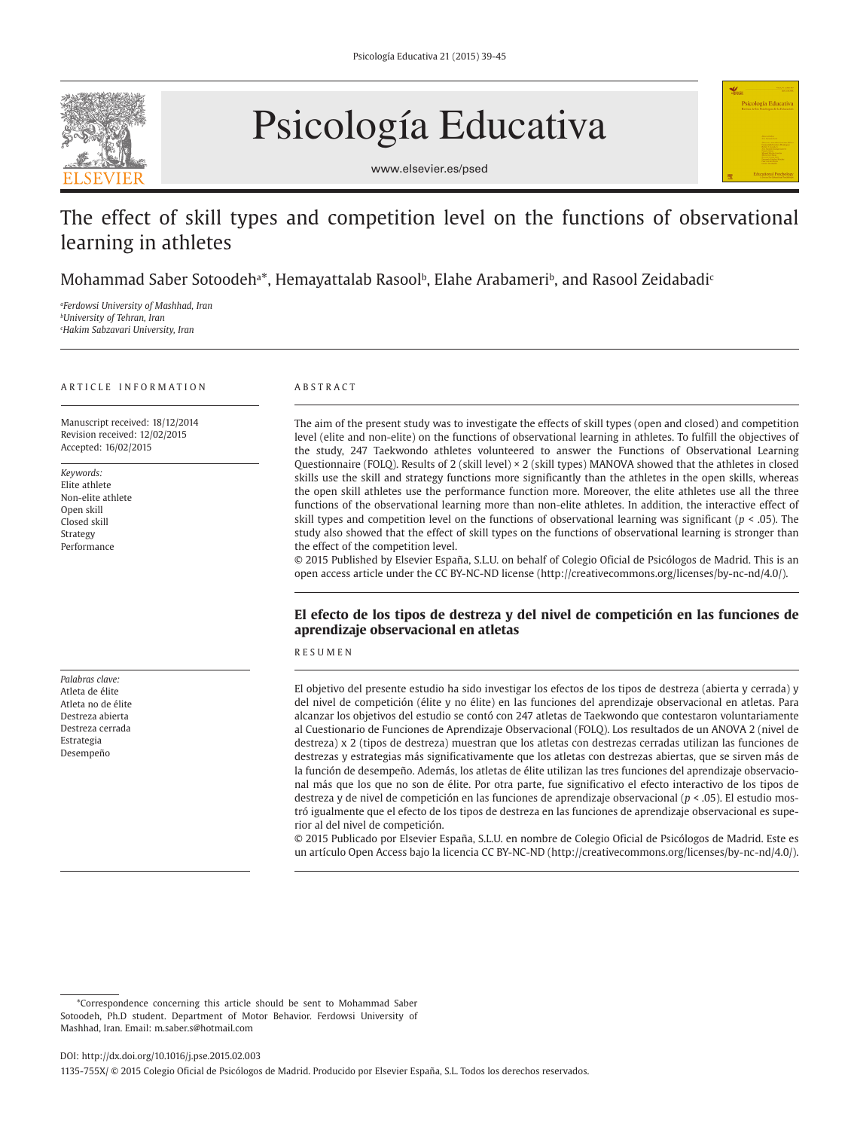

# Psicología Educativa



www.elsevier.es/psed

# The effect of skill types and competition level on the functions of observational learning in athletes

Mohammad Saber Sotoodehª\*, Hemayattalab Rasoolʰ, Elahe Arabameriʰ, and Rasool Zeidabadiʿ

*a Ferdowsi University of Mashhad, Iran b University of Tehran, Iran c Hakim Sabzavari University, Iran*

#### ARTICLE INFORMATION

Manuscript received: 18/12/2014 Revision received: 12/02/2015 Accepted: 16/02/2015

*Keywords:* Elite athlete Non-elite athlete Open skill Closed skill Strategy Performance

*Palabras clave:* Atleta de élite Atleta no de élite Destreza abierta Destreza cerrada Estrategia Desempeño

#### **ABSTRACT**

The aim of the present study was to investigate the effects of skill types (open and closed) and competition level (elite and non-elite) on the functions of observational learning in athletes. To fulfill the objectives of the study, 247 Taekwondo athletes volunteered to answer the Functions of Observational Learning Questionnaire (FOLQ). Results of 2 (skill level) × 2 (skill types) MANOVA showed that the athletes in closed skills use the skill and strategy functions more significantly than the athletes in the open skills, whereas the open skill athletes use the performance function more. Moreover, the elite athletes use all the three functions of the observational learning more than non-elite athletes. In addition, the interactive effect of skill types and competition level on the functions of observational learning was significant ( $p < .05$ ). The study also showed that the effect of skill types on the functions of observational learning is stronger than the effect of the competition level.

© 2015 Published by Elsevier España, S.L.U. on behalf of Colegio Oficial de Psicólogos de Madrid. This is an open access article under the CC BY-NC-ND license (http://creativecommons.org/licenses/by-nc-nd/4.0/).

# **El efecto de los tipos de destreza y del nivel de competición en las funciones de aprendizaje observacional en atletas**

r e s u m e n

El objetivo del presente estudio ha sido investigar los efectos de los tipos de destreza (abierta y cerrada) y del nivel de competición (élite y no élite) en las funciones del aprendizaje observacional en atletas. Para alcanzar los objetivos del estudio se contó con 247 atletas de Taekwondo que contestaron voluntariamente al Cuestionario de Funciones de Aprendizaje Observacional (FOLQ). Los resultados de un ANOVA 2 (nivel de destreza) x 2 (tipos de destreza) muestran que los atletas con destrezas cerradas utilizan las funciones de destrezas y estrategias más significativamente que los atletas con destrezas abiertas, que se sirven más de la función de desempeño. Además, los atletas de élite utilizan las tres funciones del aprendizaje observacional más que los que no son de élite. Por otra parte, fue significativo el efecto interactivo de los tipos de destreza y de nivel de competición en las funciones de aprendizaje observacional (*p* < .05). El estudio mostró igualmente que el efecto de los tipos de destreza en las funciones de aprendizaje observacional es superior al del nivel de competición.

© 2015 Publicado por Elsevier España, S.L.U. en nombre de Colegio Oficial de Psicólogos de Madrid. Este es un artículo Open Access bajo la licencia CC BY-NC-ND (http://creativecommons.org/licenses/by-nc-nd/4.0/).

<sup>\*</sup>Correspondence concerning this article should be sent to Mohammad Saber Sotoodeh, Ph.D student. Department of Motor Behavior. Ferdowsi University of Mashhad, Iran. Email: m.saber.s@hotmail.com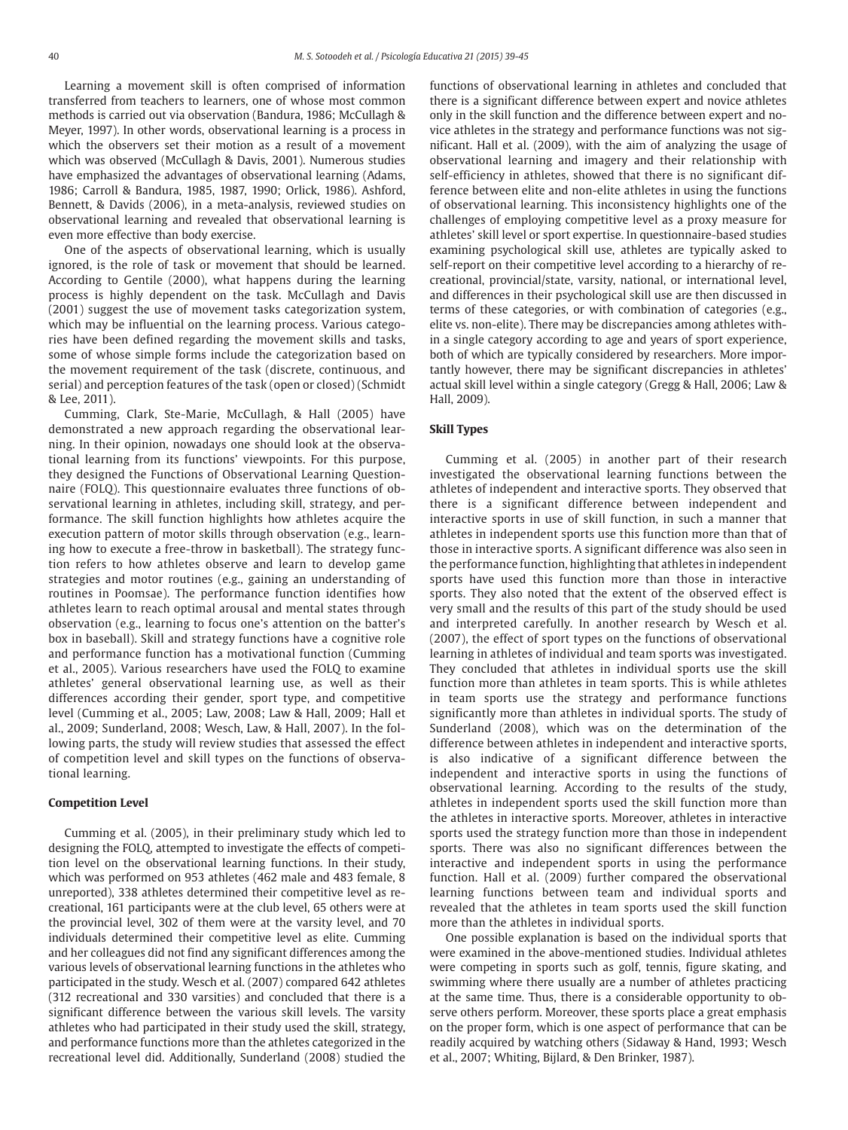Learning a movement skill is often comprised of information transferred from teachers to learners, one of whose most common methods is carried out via observation (Bandura, 1986; McCullagh & Meyer, 1997). In other words, observational learning is a process in which the observers set their motion as a result of a movement which was observed (McCullagh & Davis, 2001). Numerous studies have emphasized the advantages of observational learning (Adams, 1986; Carroll & Bandura, 1985, 1987, 1990; Orlick, 1986). Ashford, Bennett, & Davids (2006), in a meta-analysis, reviewed studies on observational learning and revealed that observational learning is even more effective than body exercise.

One of the aspects of observational learning, which is usually ignored, is the role of task or movement that should be learned. According to Gentile (2000), what happens during the learning process is highly dependent on the task. McCullagh and Davis (2001) suggest the use of movement tasks categorization system, which may be influential on the learning process. Various categories have been defined regarding the movement skills and tasks, some of whose simple forms include the categorization based on the movement requirement of the task (discrete, continuous, and serial) and perception features of the task (open or closed) (Schmidt & Lee, 2011).

Cumming, Clark, Ste-Marie, McCullagh, & Hall (2005) have demonstrated a new approach regarding the observational learning. In their opinion, nowadays one should look at the observational learning from its functions' viewpoints. For this purpose, they designed the Functions of Observational Learning Questionnaire (FOLQ). This questionnaire evaluates three functions of observational learning in athletes, including skill, strategy, and performance. The skill function highlights how athletes acquire the execution pattern of motor skills through observation (e.g., learning how to execute a free-throw in basketball). The strategy function refers to how athletes observe and learn to develop game strategies and motor routines (e.g., gaining an understanding of routines in Poomsae). The performance function identifies how athletes learn to reach optimal arousal and mental states through observation (e.g., learning to focus one's attention on the batter's box in baseball). Skill and strategy functions have a cognitive role and performance function has a motivational function (Cumming et al., 2005). Various researchers have used the FOLQ to examine athletes' general observational learning use, as well as their differences according their gender, sport type, and competitive level (Cumming et al., 2005; Law, 2008; Law & Hall, 2009; Hall et al., 2009; Sunderland, 2008; Wesch, Law, & Hall, 2007). In the following parts, the study will review studies that assessed the effect of competition level and skill types on the functions of observational learning.

#### **Competition Level**

Cumming et al. (2005), in their preliminary study which led to designing the FOLQ, attempted to investigate the effects of competition level on the observational learning functions. In their study, which was performed on 953 athletes (462 male and 483 female, 8 unreported), 338 athletes determined their competitive level as recreational, 161 participants were at the club level, 65 others were at the provincial level, 302 of them were at the varsity level, and 70 individuals determined their competitive level as elite. Cumming and her colleagues did not find any significant differences among the various levels of observational learning functions in the athletes who participated in the study. Wesch et al. (2007) compared 642 athletes (312 recreational and 330 varsities) and concluded that there is a significant difference between the various skill levels. The varsity athletes who had participated in their study used the skill, strategy, and performance functions more than the athletes categorized in the recreational level did. Additionally, Sunderland (2008) studied the functions of observational learning in athletes and concluded that there is a significant difference between expert and novice athletes only in the skill function and the difference between expert and novice athletes in the strategy and performance functions was not significant. Hall et al. (2009), with the aim of analyzing the usage of observational learning and imagery and their relationship with self-efficiency in athletes, showed that there is no significant difference between elite and non-elite athletes in using the functions of observational learning. This inconsistency highlights one of the challenges of employing competitive level as a proxy measure for athletes' skill level or sport expertise. In questionnaire-based studies examining psychological skill use, athletes are typically asked to self-report on their competitive level according to a hierarchy of recreational, provincial/state, varsity, national, or international level, and differences in their psychological skill use are then discussed in terms of these categories, or with combination of categories (e.g., elite vs. non-elite). There may be discrepancies among athletes within a single category according to age and years of sport experience, both of which are typically considered by researchers. More importantly however, there may be significant discrepancies in athletes' actual skill level within a single category (Gregg & Hall, 2006; Law & Hall, 2009).

# **Skill Types**

Cumming et al. (2005) in another part of their research investigated the observational learning functions between the athletes of independent and interactive sports. They observed that there is a significant difference between independent and interactive sports in use of skill function, in such a manner that athletes in independent sports use this function more than that of those in interactive sports. A significant difference was also seen in the performance function, highlighting that athletes in independent sports have used this function more than those in interactive sports. They also noted that the extent of the observed effect is very small and the results of this part of the study should be used and interpreted carefully. In another research by Wesch et al. (2007), the effect of sport types on the functions of observational learning in athletes of individual and team sports was investigated. They concluded that athletes in individual sports use the skill function more than athletes in team sports. This is while athletes in team sports use the strategy and performance functions significantly more than athletes in individual sports. The study of Sunderland (2008), which was on the determination of the difference between athletes in independent and interactive sports, is also indicative of a significant difference between the independent and interactive sports in using the functions of observational learning. According to the results of the study, athletes in independent sports used the skill function more than the athletes in interactive sports. Moreover, athletes in interactive sports used the strategy function more than those in independent sports. There was also no significant differences between the interactive and independent sports in using the performance function. Hall et al. (2009) further compared the observational learning functions between team and individual sports and revealed that the athletes in team sports used the skill function more than the athletes in individual sports.

One possible explanation is based on the individual sports that were examined in the above-mentioned studies. Individual athletes were competing in sports such as golf, tennis, figure skating, and swimming where there usually are a number of athletes practicing at the same time. Thus, there is a considerable opportunity to observe others perform. Moreover, these sports place a great emphasis on the proper form, which is one aspect of performance that can be readily acquired by watching others (Sidaway & Hand, 1993; Wesch et al., 2007; Whiting, Bijlard, & Den Brinker, 1987).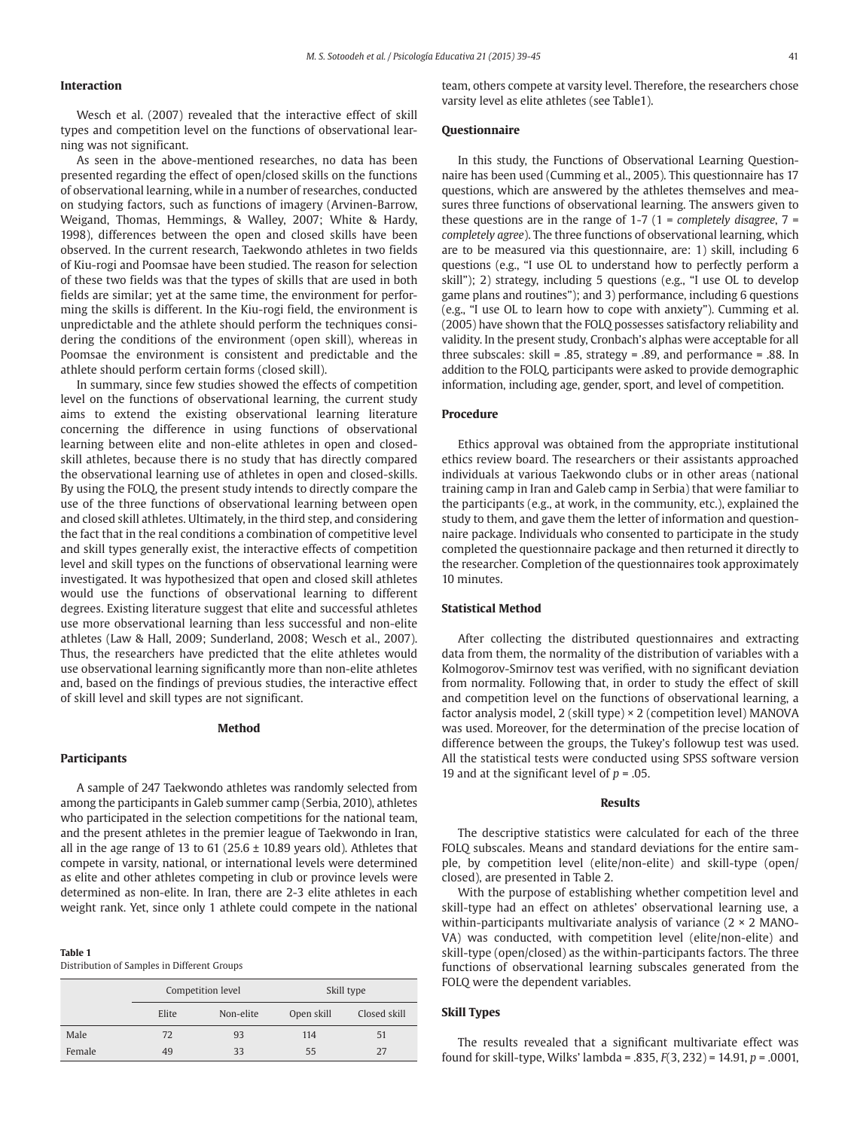#### **Interaction**

Wesch et al. (2007) revealed that the interactive effect of skill types and competition level on the functions of observational learning was not significant.

As seen in the above-mentioned researches, no data has been presented regarding the effect of open/closed skills on the functions of observational learning, while in a number of researches, conducted on studying factors, such as functions of imagery (Arvinen-Barrow, Weigand, Thomas, Hemmings, & Walley, 2007; White & Hardy, 1998), differences between the open and closed skills have been observed. In the current research, Taekwondo athletes in two fields of Kiu-rogi and Poomsae have been studied. The reason for selection of these two fields was that the types of skills that are used in both fields are similar; yet at the same time, the environment for performing the skills is different. In the Kiu-rogi field, the environment is unpredictable and the athlete should perform the techniques considering the conditions of the environment (open skill), whereas in Poomsae the environment is consistent and predictable and the athlete should perform certain forms (closed skill).

In summary, since few studies showed the effects of competition level on the functions of observational learning, the current study aims to extend the existing observational learning literature concerning the difference in using functions of observational learning between elite and non-elite athletes in open and closedskill athletes, because there is no study that has directly compared the observational learning use of athletes in open and closed-skills. By using the FOLQ, the present study intends to directly compare the use of the three functions of observational learning between open and closed skill athletes. Ultimately, in the third step, and considering the fact that in the real conditions a combination of competitive level and skill types generally exist, the interactive effects of competition level and skill types on the functions of observational learning were investigated. It was hypothesized that open and closed skill athletes would use the functions of observational learning to different degrees. Existing literature suggest that elite and successful athletes use more observational learning than less successful and non-elite athletes (Law & Hall, 2009; Sunderland, 2008; Wesch et al., 2007). Thus, the researchers have predicted that the elite athletes would use observational learning significantly more than non-elite athletes and, based on the findings of previous studies, the interactive effect of skill level and skill types are not significant.

# **Method**

#### **Participants**

A sample of 247 Taekwondo athletes was randomly selected from among the participants in Galeb summer camp (Serbia, 2010), athletes who participated in the selection competitions for the national team, and the present athletes in the premier league of Taekwondo in Iran, all in the age range of 13 to 61 (25.6  $\pm$  10.89 years old). Athletes that compete in varsity, national, or international levels were determined as elite and other athletes competing in club or province levels were determined as non-elite. In Iran, there are 2-3 elite athletes in each weight rank. Yet, since only 1 athlete could compete in the national

#### **Table 1**

Distribution of Samples in Different Groups

|        |       | Competition level | Skill type |              |  |  |
|--------|-------|-------------------|------------|--------------|--|--|
|        | Elite | Non-elite         | Open skill | Closed skill |  |  |
| Male   | 72    | 93                | 114        | 51           |  |  |
| Female | 49    | 33                | 55         | 27           |  |  |

team, others compete at varsity level. Therefore, the researchers chose varsity level as elite athletes (see Table1).

#### **Questionnaire**

In this study, the Functions of Observational Learning Questionnaire has been used (Cumming et al., 2005). This questionnaire has 17 questions, which are answered by the athletes themselves and measures three functions of observational learning. The answers given to these questions are in the range of 1-7 (1 = *completely disagree*, 7 = *completely agree*). The three functions of observational learning, which are to be measured via this questionnaire, are: 1) skill, including 6 questions (e.g., "I use OL to understand how to perfectly perform a skill"); 2) strategy, including 5 questions (e.g., "I use OL to develop game plans and routines"); and 3) performance, including 6 questions (e.g., "I use OL to learn how to cope with anxiety"). Cumming et al. (2005) have shown that the FOLQ possesses satisfactory reliability and validity. In the present study, Cronbach's alphas were acceptable for all three subscales: skill = .85, strategy = .89, and performance = .88. In addition to the FOLQ, participants were asked to provide demographic information, including age, gender, sport, and level of competition.

#### **Procedure**

Ethics approval was obtained from the appropriate institutional ethics review board. The researchers or their assistants approached individuals at various Taekwondo clubs or in other areas (national training camp in Iran and Galeb camp in Serbia) that were familiar to the participants (e.g., at work, in the community, etc.), explained the study to them, and gave them the letter of information and questionnaire package. Individuals who consented to participate in the study completed the questionnaire package and then returned it directly to the researcher. Completion of the questionnaires took approximately 10 minutes.

#### **Statistical Method**

After collecting the distributed questionnaires and extracting data from them, the normality of the distribution of variables with a Kolmogorov-Smirnov test was verified, with no significant deviation from normality. Following that, in order to study the effect of skill and competition level on the functions of observational learning, a factor analysis model, 2 (skill type) × 2 (competition level) MANOVA was used. Moreover, for the determination of the precise location of difference between the groups, the Tukey's followup test was used. All the statistical tests were conducted using SPSS software version 19 and at the significant level of *p* = .05.

#### **Results**

The descriptive statistics were calculated for each of the three FOLQ subscales. Means and standard deviations for the entire sample, by competition level (elite/non-elite) and skill-type (open/ closed), are presented in Table 2.

With the purpose of establishing whether competition level and skill-type had an effect on athletes' observational learning use, a within-participants multivariate analysis of variance  $(2 \times 2)$  MANO-VA) was conducted, with competition level (elite/non-elite) and skill-type (open/closed) as the within-participants factors. The three functions of observational learning subscales generated from the FOLQ were the dependent variables.

#### **Skill Types**

The results revealed that a significant multivariate effect was found for skill-type, Wilks' lambda = .835, *F*(3, 232) = 14.91, *p* = .0001,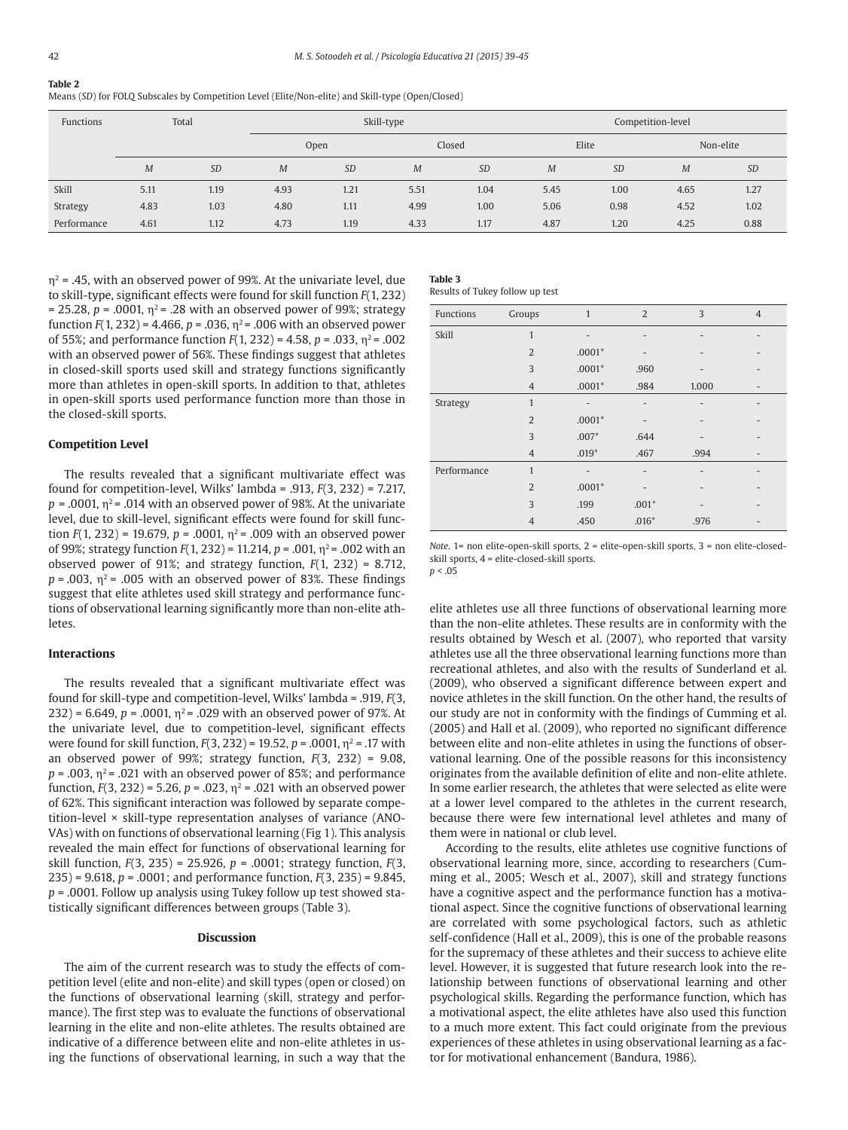## **Table 2**

|  |  |  | Means (SD) for FOLQ Subscales by Competition Level (Elite/Non-elite) and Skill-type (Open/Closed) |  |  |  |  |  |  |  |  |  |  |  |
|--|--|--|---------------------------------------------------------------------------------------------------|--|--|--|--|--|--|--|--|--|--|--|
|--|--|--|---------------------------------------------------------------------------------------------------|--|--|--|--|--|--|--|--|--|--|--|

| Functions   |      | Total     | Skill-type |           |        |           | Competition-level |           |           |           |
|-------------|------|-----------|------------|-----------|--------|-----------|-------------------|-----------|-----------|-----------|
|             |      |           | Open       |           | Closed |           | Elite             |           | Non-elite |           |
|             | M    | <b>SD</b> | M          | <b>SD</b> | M      | <b>SD</b> | M                 | <b>SD</b> | M         | <b>SD</b> |
| Skill       | 5.11 | 1.19      | 4.93       | 1.21      | 5.51   | 1.04      | 5.45              | 1.00      | 4.65      | 1.27      |
| Strategy    | 4.83 | 1.03      | 4.80       | 1.11      | 4.99   | 1.00      | 5.06              | 0.98      | 4.52      | 1.02      |
| Performance | 4.61 | 1.12      | 4.73       | 1.19      | 4.33   | 1.17      | 4.87              | 1.20      | 4.25      | 0.88      |

 $\eta^2$  = .45, with an observed power of 99%. At the univariate level, due to skill-type, significant effects were found for skill function *F*(1, 232)  $= 25.28$ ,  $p = .0001$ ,  $\eta^2 = .28$  with an observed power of 99%; strategy function  $F(1, 232) = 4.466$ ,  $p = .036$ ,  $p^2 = .006$  with an observed power of 55%; and performance function *F*(1, 232) = 4.58, *p* = .033, η2 = .002 with an observed power of 56%. These findings suggest that athletes in closed-skill sports used skill and strategy functions significantly more than athletes in open-skill sports. In addition to that, athletes in open-skill sports used performance function more than those in the closed-skill sports.

#### **Competition Level**

The results revealed that a significant multivariate effect was found for competition-level, Wilks' lambda = .913, *F*(3, 232) = 7.217,  $p = .0001$ ,  $\eta^2 = .014$  with an observed power of 98%. At the univariate level, due to skill-level, significant effects were found for skill function  $F(1, 232) = 19.679$ ,  $p = .0001$ ,  $\eta^2 = .009$  with an observed power of 99%; strategy function *F*(1, 232) = 11.214, *p* = .001, η2 = .002 with an observed power of 91%; and strategy function,  $F(1, 232) = 8.712$ ,  $p = .003$ ,  $\eta^2 = .005$  with an observed power of 83%. These findings suggest that elite athletes used skill strategy and performance functions of observational learning significantly more than non-elite athletes.

#### **Interactions**

The results revealed that a significant multivariate effect was found for skill-type and competition-level, Wilks' lambda = .919, *F*(3, 232) = 6.649,  $p = .0001$ ,  $\eta^2 = .029$  with an observed power of 97%. At the univariate level, due to competition-level, significant effects were found for skill function, *F*(3, 232) = 19.52, *p* = .0001, η2 = .17 with an observed power of 99%; strategy function, *F*(3, 232) = 9.08,  $p = 0.003$ ,  $\eta^2 = 0.021$  with an observed power of 85%; and performance function,  $F(3, 232) = 5.26$ ,  $p = .023$ ,  $\eta^2 = .021$  with an observed power of 62%. This significant interaction was followed by separate competition-level × skill-type representation analyses of variance (ANO-VAs) with on functions of observational learning (Fig 1). This analysis revealed the main effect for functions of observational learning for skill function, *F*(3, 235) = 25.926, *p* = .0001; strategy function, *F*(3, 235) = 9.618, *p* = .0001; and performance function, *F*(3, 235) = 9.845, *p* = .0001. Follow up analysis using Tukey follow up test showed statistically significant differences between groups (Table 3).

## **Discussion**

The aim of the current research was to study the effects of competition level (elite and non-elite) and skill types (open or closed) on the functions of observational learning (skill, strategy and performance). The first step was to evaluate the functions of observational learning in the elite and non-elite athletes. The results obtained are indicative of a difference between elite and non-elite athletes in using the functions of observational learning, in such a way that the

#### **Table 3** Results of Tukey follow up test

| Functions   | Groups         | $\mathbf{1}$ | $\overline{2}$ | 3     | $\overline{4}$ |
|-------------|----------------|--------------|----------------|-------|----------------|
|             |                |              |                |       |                |
| Skill       | $\mathbf{1}$   |              |                |       |                |
|             | $\overline{2}$ | $.0001*$     |                |       |                |
|             | 3              | $.0001*$     | .960           |       |                |
|             | $\overline{4}$ | $.0001*$     | .984           | 1.000 |                |
| Strategy    | $\mathbf{1}$   |              |                |       |                |
|             | $\overline{2}$ | $.0001*$     |                |       |                |
|             | 3              | $.007*$      | .644           |       |                |
|             | $\overline{4}$ | $.019*$      | .467           | .994  |                |
| Performance | $\mathbf{1}$   |              |                |       |                |
|             | $\overline{2}$ | $.0001*$     |                |       |                |
|             | 3              | .199         | $.001*$        |       |                |
|             | $\overline{4}$ | .450         | $.016*$        | .976  |                |

*Note*. 1= non elite-open-skill sports, 2 = elite-open-skill sports, 3 = non elite-closedskill sports, 4 = elite-closed-skill sports. *p* < .05

elite athletes use all three functions of observational learning more than the non-elite athletes. These results are in conformity with the results obtained by Wesch et al. (2007), who reported that varsity athletes use all the three observational learning functions more than recreational athletes, and also with the results of Sunderland et al. (2009), who observed a significant difference between expert and novice athletes in the skill function. On the other hand, the results of our study are not in conformity with the findings of Cumming et al. (2005) and Hall et al. (2009), who reported no significant difference between elite and non-elite athletes in using the functions of observational learning. One of the possible reasons for this inconsistency originates from the available definition of elite and non-elite athlete. In some earlier research, the athletes that were selected as elite were at a lower level compared to the athletes in the current research, because there were few international level athletes and many of them were in national or club level.

According to the results, elite athletes use cognitive functions of observational learning more, since, according to researchers (Cumming et al., 2005; Wesch et al., 2007), skill and strategy functions have a cognitive aspect and the performance function has a motivational aspect. Since the cognitive functions of observational learning are correlated with some psychological factors, such as athletic self-confidence (Hall et al., 2009), this is one of the probable reasons for the supremacy of these athletes and their success to achieve elite level. However, it is suggested that future research look into the relationship between functions of observational learning and other psychological skills. Regarding the performance function, which has a motivational aspect, the elite athletes have also used this function to a much more extent. This fact could originate from the previous experiences of these athletes in using observational learning as a factor for motivational enhancement (Bandura, 1986).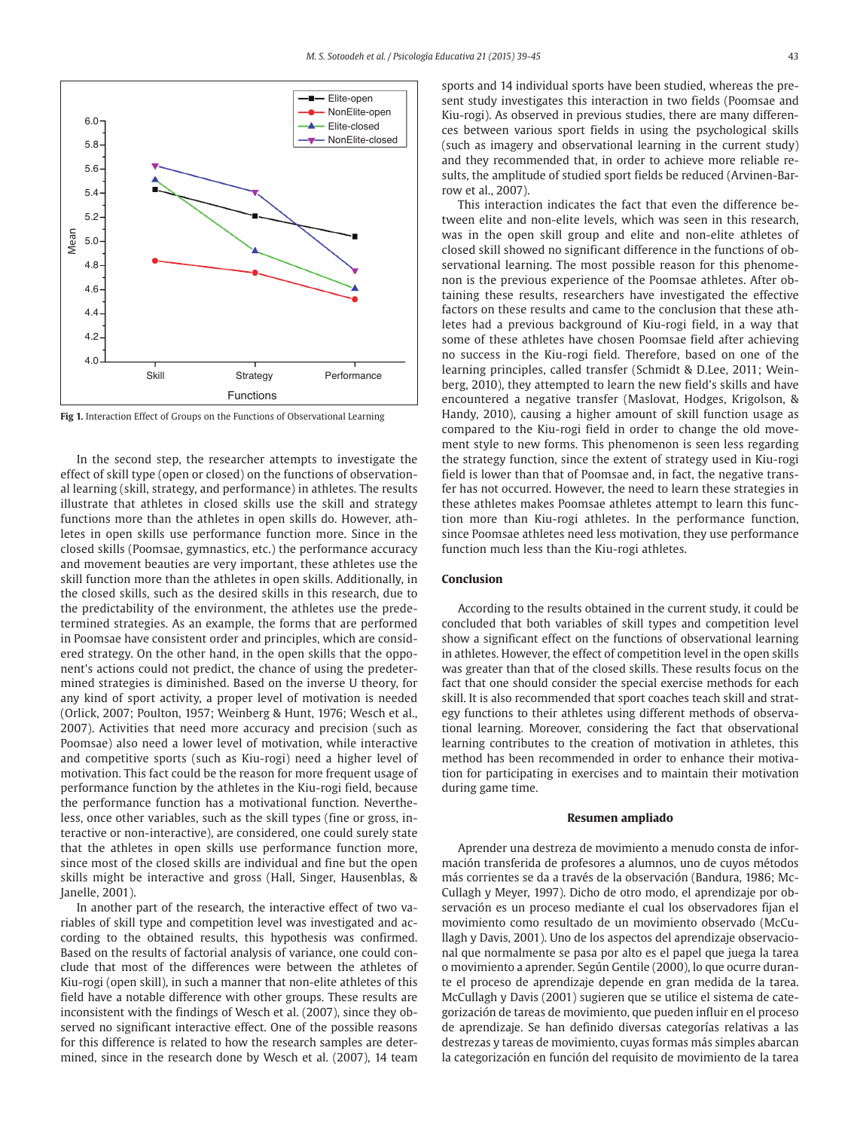

**Fig 1.** Interaction Effect of Groups on the Functions of Observational Learning

In the second step, the researcher attempts to investigate the effect of skill type (open or closed) on the functions of observational learning (skill, strategy, and performance) in athletes. The results illustrate that athletes in closed skills use the skill and strategy functions more than the athletes in open skills do. However, athletes in open skills use performance function more. Since in the closed skills (Poomsae, gymnastics, etc.) the performance accuracy and movement beauties are very important, these athletes use the skill function more than the athletes in open skills. Additionally, in the closed skills, such as the desired skills in this research, due to the predictability of the environment, the athletes use the predetermined strategies. As an example, the forms that are performed in Poomsae have consistent order and principles, which are considered strategy. On the other hand, in the open skills that the opponent's actions could not predict, the chance of using the predetermined strategies is diminished. Based on the inverse U theory, for any kind of sport activity, a proper level of motivation is needed (Orlick, 2007; Poulton, 1957; Weinberg & Hunt, 1976; Wesch et al., 2007). Activities that need more accuracy and precision (such as Poomsae) also need a lower level of motivation, while interactive and competitive sports (such as Kiu-rogi) need a higher level of motivation. This fact could be the reason for more frequent usage of performance function by the athletes in the Kiu-rogi field, because the performance function has a motivational function. Nevertheless, once other variables, such as the skill types (fine or gross, interactive or non-interactive), are considered, one could surely state that the athletes in open skills use performance function more, since most of the closed skills are individual and fine but the open skills might be interactive and gross (Hall, Singer, Hausenblas, & Janelle, 2001).

In another part of the research, the interactive effect of two variables of skill type and competition level was investigated and according to the obtained results, this hypothesis was confirmed. Based on the results of factorial analysis of variance, one could conclude that most of the differences were between the athletes of Kiu-rogi (open skill), in such a manner that non-elite athletes of this field have a notable difference with other groups. These results are inconsistent with the findings of Wesch et al. (2007), since they observed no significant interactive effect. One of the possible reasons for this difference is related to how the research samples are determined, since in the research done by Wesch et al. (2007), 14 team sports and 14 individual sports have been studied, whereas the present study investigates this interaction in two fields (Poomsae and Kiu-rogi). As observed in previous studies, there are many differences between various sport fields in using the psychological skills (such as imagery and observational learning in the current study) and they recommended that, in order to achieve more reliable results, the amplitude of studied sport fields be reduced (Arvinen-Barrow et al., 2007).

This interaction indicates the fact that even the difference between elite and non-elite levels, which was seen in this research, was in the open skill group and elite and non-elite athletes of closed skill showed no significant difference in the functions of observational learning. The most possible reason for this phenomenon is the previous experience of the Poomsae athletes. After obtaining these results, researchers have investigated the effective factors on these results and came to the conclusion that these athletes had a previous background of Kiu-rogi field, in a way that some of these athletes have chosen Poomsae field after achieving no success in the Kiu-rogi field. Therefore, based on one of the learning principles, called transfer (Schmidt & D.Lee, 2011; Weinberg, 2010), they attempted to learn the new field's skills and have encountered a negative transfer (Maslovat, Hodges, Krigolson, & Handy, 2010), causing a higher amount of skill function usage as compared to the Kiu-rogi field in order to change the old movement style to new forms. This phenomenon is seen less regarding the strategy function, since the extent of strategy used in Kiu-rogi field is lower than that of Poomsae and, in fact, the negative transfer has not occurred. However, the need to learn these strategies in these athletes makes Poomsae athletes attempt to learn this function more than Kiu-rogi athletes. In the performance function, since Poomsae athletes need less motivation, they use performance function much less than the Kiu-rogi athletes.

# **Conclusion**

According to the results obtained in the current study, it could be concluded that both variables of skill types and competition level show a significant effect on the functions of observational learning in athletes. However, the effect of competition level in the open skills was greater than that of the closed skills. These results focus on the fact that one should consider the special exercise methods for each skill. It is also recommended that sport coaches teach skill and strategy functions to their athletes using different methods of observational learning. Moreover, considering the fact that observational learning contributes to the creation of motivation in athletes, this method has been recommended in order to enhance their motivation for participating in exercises and to maintain their motivation during game time.

# **Resumen ampliado**

Aprender una destreza de movimiento a menudo consta de información transferida de profesores a alumnos, uno de cuyos métodos más corrientes se da a través de la observación (Bandura, 1986; Mc-Cullagh y Meyer, 1997). Dicho de otro modo, el aprendizaje por observación es un proceso mediante el cual los observadores fijan el movimiento como resultado de un movimiento observado (McCullagh y Davis, 2001). Uno de los aspectos del aprendizaje observacional que normalmente se pasa por alto es el papel que juega la tarea o movimiento a aprender. Según Gentile (2000), lo que ocurre durante el proceso de aprendizaje depende en gran medida de la tarea. McCullagh y Davis (2001) sugieren que se utilice el sistema de categorización de tareas de movimiento, que pueden influir en el proceso de aprendizaje. Se han definido diversas categorías relativas a las destrezas y tareas de movimiento, cuyas formas más simples abarcan la categorización en función del requisito de movimiento de la tarea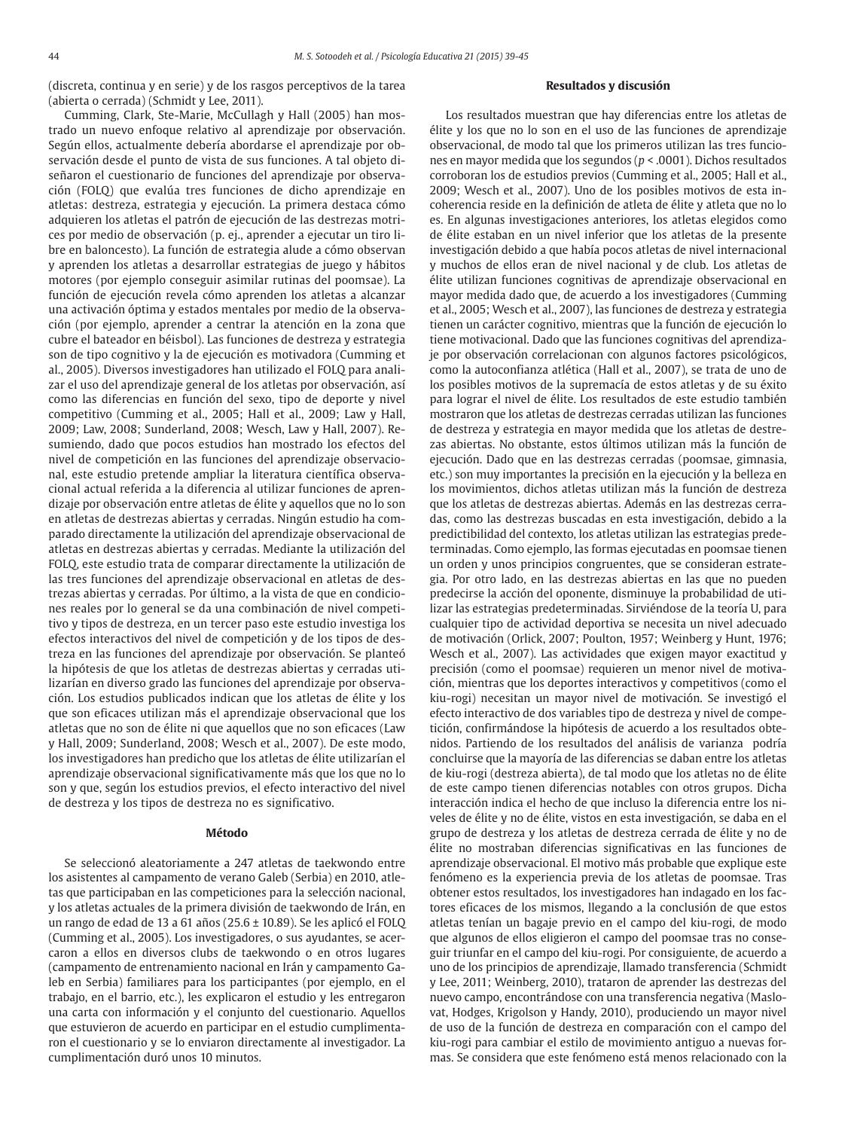(discreta, continua y en serie) y de los rasgos perceptivos de la tarea (abierta o cerrada) (Schmidt y Lee, 2011).

Cumming, Clark, Ste-Marie, McCullagh y Hall (2005) han mostrado un nuevo enfoque relativo al aprendizaje por observación. Según ellos, actualmente debería abordarse el aprendizaje por observación desde el punto de vista de sus funciones. A tal objeto diseñaron el cuestionario de funciones del aprendizaje por observación (FOLQ) que evalúa tres funciones de dicho aprendizaje en atletas: destreza, estrategia y ejecución. La primera destaca cómo adquieren los atletas el patrón de ejecución de las destrezas motrices por medio de observación (p. ej., aprender a ejecutar un tiro libre en baloncesto). La función de estrategia alude a cómo observan y aprenden los atletas a desarrollar estrategias de juego y hábitos motores (por ejemplo conseguir asimilar rutinas del poomsae). La función de ejecución revela cómo aprenden los atletas a alcanzar una activación óptima y estados mentales por medio de la observación (por ejemplo, aprender a centrar la atención en la zona que cubre el bateador en béisbol). Las funciones de destreza y estrategia son de tipo cognitivo y la de ejecución es motivadora (Cumming et al., 2005). Diversos investigadores han utilizado el FOLQ para analizar el uso del aprendizaje general de los atletas por observación, así como las diferencias en función del sexo, tipo de deporte y nivel competitivo (Cumming et al., 2005; Hall et al., 2009; Law y Hall, 2009; Law, 2008; Sunderland, 2008; Wesch, Law y Hall, 2007). Resumiendo, dado que pocos estudios han mostrado los efectos del nivel de competición en las funciones del aprendizaje observacional, este estudio pretende ampliar la literatura científica observacional actual referida a la diferencia al utilizar funciones de aprendizaje por observación entre atletas de élite y aquellos que no lo son en atletas de destrezas abiertas y cerradas. Ningún estudio ha comparado directamente la utilización del aprendizaje observacional de atletas en destrezas abiertas y cerradas. Mediante la utilización del FOLQ, este estudio trata de comparar directamente la utilización de las tres funciones del aprendizaje observacional en atletas de destrezas abiertas y cerradas. Por último, a la vista de que en condiciones reales por lo general se da una combinación de nivel competitivo y tipos de destreza, en un tercer paso este estudio investiga los efectos interactivos del nivel de competición y de los tipos de destreza en las funciones del aprendizaje por observación. Se planteó la hipótesis de que los atletas de destrezas abiertas y cerradas utilizarían en diverso grado las funciones del aprendizaje por observación. Los estudios publicados indican que los atletas de élite y los que son eficaces utilizan más el aprendizaje observacional que los atletas que no son de élite ni que aquellos que no son eficaces (Law y Hall, 2009; Sunderland, 2008; Wesch et al., 2007). De este modo, los investigadores han predicho que los atletas de élite utilizarían el aprendizaje observacional significativamente más que los que no lo son y que, según los estudios previos, el efecto interactivo del nivel de destreza y los tipos de destreza no es significativo.

#### **Método**

Se seleccionó aleatoriamente a 247 atletas de taekwondo entre los asistentes al campamento de verano Galeb (Serbia) en 2010, atletas que participaban en las competiciones para la selección nacional, y los atletas actuales de la primera división de taekwondo de Irán, en un rango de edad de 13 a 61 años (25.6 ± 10.89). Se les aplicó el FOLQ (Cumming et al., 2005). Los investigadores, o sus ayudantes, se acercaron a ellos en diversos clubs de taekwondo o en otros lugares (campamento de entrenamiento nacional en Irán y campamento Galeb en Serbia) familiares para los participantes (por ejemplo, en el trabajo, en el barrio, etc.), les explicaron el estudio y les entregaron una carta con información y el conjunto del cuestionario. Aquellos que estuvieron de acuerdo en participar en el estudio cumplimentaron el cuestionario y se lo enviaron directamente al investigador. La cumplimentación duró unos 10 minutos.

#### **Resultados y discusión**

Los resultados muestran que hay diferencias entre los atletas de élite y los que no lo son en el uso de las funciones de aprendizaje observacional, de modo tal que los primeros utilizan las tres funciones en mayor medida que los segundos (*p* < .0001). Dichos resultados corroboran los de estudios previos (Cumming et al., 2005; Hall et al., 2009; Wesch et al., 2007). Uno de los posibles motivos de esta incoherencia reside en la definición de atleta de élite y atleta que no lo es. En algunas investigaciones anteriores, los atletas elegidos como de élite estaban en un nivel inferior que los atletas de la presente investigación debido a que había pocos atletas de nivel internacional y muchos de ellos eran de nivel nacional y de club. Los atletas de élite utilizan funciones cognitivas de aprendizaje observacional en mayor medida dado que, de acuerdo a los investigadores (Cumming et al., 2005; Wesch et al., 2007), las funciones de destreza y estrategia tienen un carácter cognitivo, mientras que la función de ejecución lo tiene motivacional. Dado que las funciones cognitivas del aprendizaje por observación correlacionan con algunos factores psicológicos, como la autoconfianza atlética (Hall et al., 2007), se trata de uno de los posibles motivos de la supremacía de estos atletas y de su éxito para lograr el nivel de élite. Los resultados de este estudio también mostraron que los atletas de destrezas cerradas utilizan las funciones de destreza y estrategia en mayor medida que los atletas de destrezas abiertas. No obstante, estos últimos utilizan más la función de ejecución. Dado que en las destrezas cerradas (poomsae, gimnasia, etc.) son muy importantes la precisión en la ejecución y la belleza en los movimientos, dichos atletas utilizan más la función de destreza que los atletas de destrezas abiertas. Además en las destrezas cerradas, como las destrezas buscadas en esta investigación, debido a la predictibilidad del contexto, los atletas utilizan las estrategias predeterminadas. Como ejemplo, las formas ejecutadas en poomsae tienen un orden y unos principios congruentes, que se consideran estrategia. Por otro lado, en las destrezas abiertas en las que no pueden predecirse la acción del oponente, disminuye la probabilidad de utilizar las estrategias predeterminadas. Sirviéndose de la teoría U, para cualquier tipo de actividad deportiva se necesita un nivel adecuado de motivación (Orlick, 2007; Poulton, 1957; Weinberg y Hunt, 1976; Wesch et al., 2007). Las actividades que exigen mayor exactitud y precisión (como el poomsae) requieren un menor nivel de motivación, mientras que los deportes interactivos y competitivos (como el kiu-rogi) necesitan un mayor nivel de motivación. Se investigó el efecto interactivo de dos variables tipo de destreza y nivel de competición, confirmándose la hipótesis de acuerdo a los resultados obtenidos. Partiendo de los resultados del análisis de varianza podría concluirse que la mayoría de las diferencias se daban entre los atletas de kiu-rogi (destreza abierta), de tal modo que los atletas no de élite de este campo tienen diferencias notables con otros grupos. Dicha interacción indica el hecho de que incluso la diferencia entre los niveles de élite y no de élite, vistos en esta investigación, se daba en el grupo de destreza y los atletas de destreza cerrada de élite y no de élite no mostraban diferencias significativas en las funciones de aprendizaje observacional. El motivo más probable que explique este fenómeno es la experiencia previa de los atletas de poomsae. Tras obtener estos resultados, los investigadores han indagado en los factores eficaces de los mismos, llegando a la conclusión de que estos atletas tenían un bagaje previo en el campo del kiu-rogi, de modo que algunos de ellos eligieron el campo del poomsae tras no conseguir triunfar en el campo del kiu-rogi. Por consiguiente, de acuerdo a uno de los principios de aprendizaje, llamado transferencia (Schmidt y Lee, 2011; Weinberg, 2010), trataron de aprender las destrezas del nuevo campo, encontrándose con una transferencia negativa (Maslovat, Hodges, Krigolson y Handy, 2010), produciendo un mayor nivel de uso de la función de destreza en comparación con el campo del kiu-rogi para cambiar el estilo de movimiento antiguo a nuevas formas. Se considera que este fenómeno está menos relacionado con la